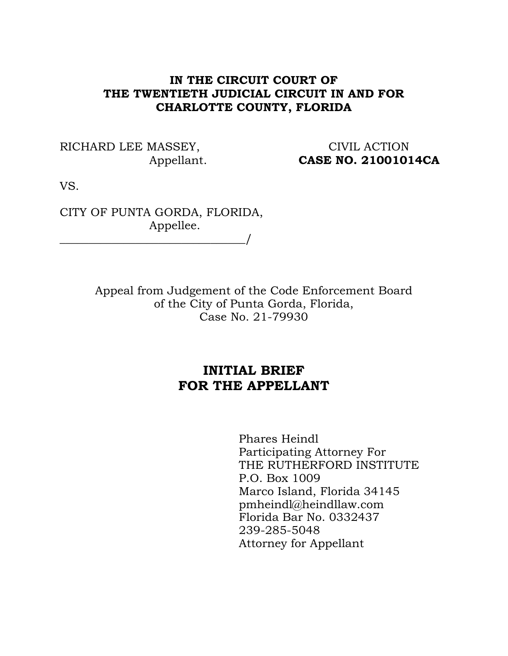### **IN THE CIRCUIT COURT OF THE TWENTIETH JUDICIAL CIRCUIT IN AND FOR CHARLOTTE COUNTY, FLORIDA**

RICHARD LEE MASSEY, CIVIL ACTION

Appellant. **CASE NO. 21001014CA**

VS.

CITY OF PUNTA GORDA, FLORIDA, Appellee. \_\_\_\_\_\_\_\_\_\_\_\_\_\_\_\_\_\_\_\_\_\_\_\_\_\_\_\_\_\_\_\_/

> Appeal from Judgement of the Code Enforcement Board of the City of Punta Gorda, Florida, Case No. 21-79930

# **INITIAL BRIEF FOR THE APPELLANT**

Phares Heindl Participating Attorney For THE RUTHERFORD INSTITUTE P.O. Box 1009 Marco Island, Florida 34145 pmheindl@heindllaw.com Florida Bar No. 0332437 239-285-5048 Attorney for Appellant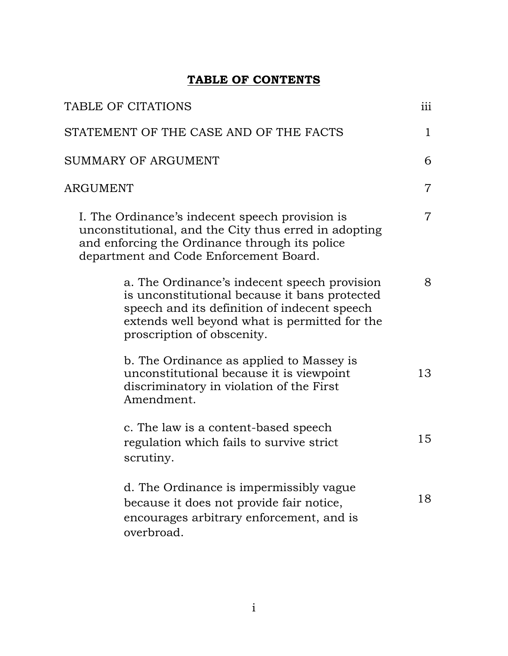# **TABLE OF CONTENTS**

| TABLE OF CITATIONS  |                                                                                                                                                                                                                              |                |
|---------------------|------------------------------------------------------------------------------------------------------------------------------------------------------------------------------------------------------------------------------|----------------|
|                     | STATEMENT OF THE CASE AND OF THE FACTS                                                                                                                                                                                       | $\mathbf{1}$   |
| SUMMARY OF ARGUMENT |                                                                                                                                                                                                                              |                |
| ARGUMENT            |                                                                                                                                                                                                                              | $\overline{7}$ |
|                     | I. The Ordinance's indecent speech provision is<br>unconstitutional, and the City thus erred in adopting<br>and enforcing the Ordinance through its police<br>department and Code Enforcement Board.                         | $\overline{7}$ |
|                     | a. The Ordinance's indecent speech provision<br>is unconstitutional because it bans protected<br>speech and its definition of indecent speech<br>extends well beyond what is permitted for the<br>proscription of obscenity. | 8              |
|                     | b. The Ordinance as applied to Massey is<br>unconstitutional because it is viewpoint<br>discriminatory in violation of the First<br>Amendment.                                                                               | 13             |
|                     | c. The law is a content-based speech<br>regulation which fails to survive strict<br>scrutiny.                                                                                                                                | 15             |
|                     | d. The Ordinance is impermissibly vague<br>because it does not provide fair notice,<br>encourages arbitrary enforcement, and is<br>overbroad.                                                                                | 18             |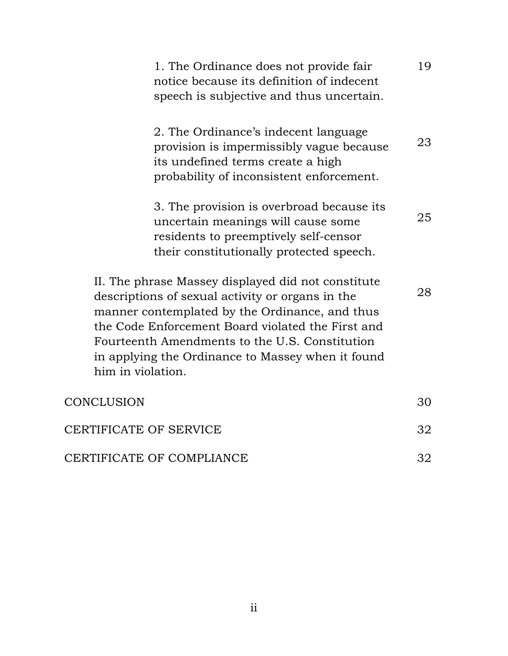| 1. The Ordinance does not provide fair<br>notice because its definition of indecent<br>speech is subjective and thus uncertain.                                                                                                                                                                                                           | 19 |
|-------------------------------------------------------------------------------------------------------------------------------------------------------------------------------------------------------------------------------------------------------------------------------------------------------------------------------------------|----|
| 2. The Ordinance's indecent language<br>provision is impermissibly vague because<br>its undefined terms create a high<br>probability of inconsistent enforcement.                                                                                                                                                                         | 23 |
| 3. The provision is overbroad because its<br>uncertain meanings will cause some<br>residents to preemptively self-censor<br>their constitutionally protected speech.                                                                                                                                                                      | 25 |
| II. The phrase Massey displayed did not constitute<br>descriptions of sexual activity or organs in the<br>manner contemplated by the Ordinance, and thus<br>the Code Enforcement Board violated the First and<br>Fourteenth Amendments to the U.S. Constitution<br>in applying the Ordinance to Massey when it found<br>him in violation. | 28 |
| <b>CONCLUSION</b>                                                                                                                                                                                                                                                                                                                         | 30 |
| CERTIFICATE OF SERVICE                                                                                                                                                                                                                                                                                                                    |    |
| CERTIFICATE OF COMPLIANCE                                                                                                                                                                                                                                                                                                                 | 32 |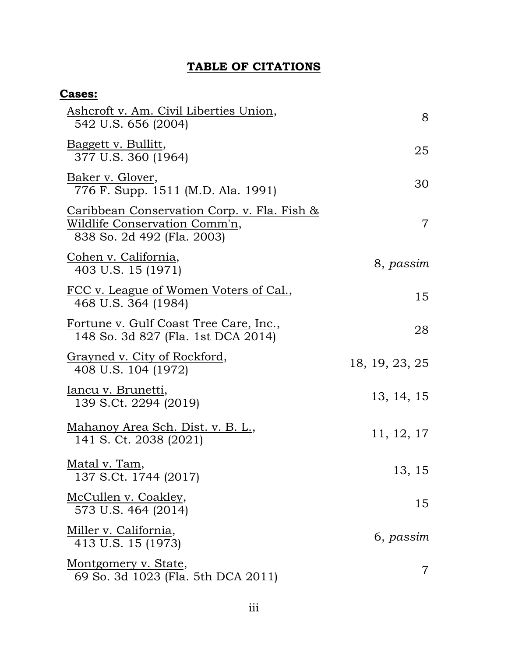# **TABLE OF CITATIONS**

| <b>Cases:</b>                                                                                              |                |
|------------------------------------------------------------------------------------------------------------|----------------|
| Ashcroft v. Am. Civil Liberties Union,<br>542 U.S. 656 (2004)                                              | 8              |
| <u>Baggett v. Bullitt</u> ,<br>377 U.S. 360 (1964)                                                         | 25             |
| Baker v. Glover,<br>776 F. Supp. 1511 (M.D. Ala. 1991)                                                     | 30             |
| Caribbean Conservation Corp. v. Fla. Fish &<br>Wildlife Conservation Comm'n,<br>838 So. 2d 492 (Fla. 2003) | 7              |
| Cohen v. California,<br>403 U.S. 15 (1971)                                                                 | 8, passim      |
| <u>FCC v. League of Women Voters of Cal.</u><br>468 U.S. 364 (1984)                                        | 15             |
| <u>Fortune v. Gulf Coast Tree Care, Inc.,</u><br>148 So. 3d 827 (Fla. 1st DCA 2014)                        | 28             |
| <u>Grayned v. City of Rockford,</u><br>408 U.S. 104 (1972)                                                 | 18, 19, 23, 25 |
| <u>Iancu v. Brunetti,</u><br>139 S.Ct. 2294 (2019)                                                         | 13, 14, 15     |
| <u>Mahanoy Area Sch. Dist. v. B. L.,</u><br>141 S. Ct. 2038 (2021)                                         | 11, 12, 17     |
| <u>Matal v. Tam,</u><br>137 S.Ct. 1744 (2017)                                                              | 13, 15         |
| McCullen v. Coakley,<br>573 U.S. 464 (2014)                                                                | 15             |
| Miller v. California,<br>413 U.S. 15 (1973)                                                                | 6, passim      |
| <u>Montgomery v. State,</u><br>69 So. 3d 1023 (Fla. 5th DCA 2011)                                          | 7              |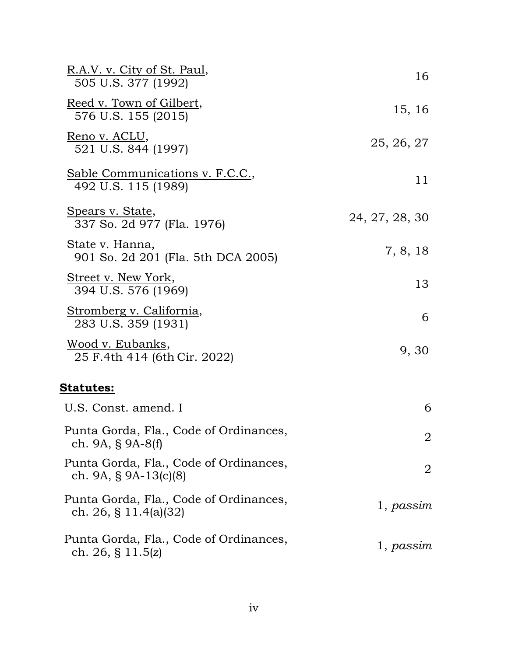| <u>R.A.V. v. City of St. Paul,</u><br>505 U.S. 377 (1992)          | 16             |
|--------------------------------------------------------------------|----------------|
| <u>Reed v. Town of Gilbert,</u><br>576 U.S. 155 (2015)             | 15, 16         |
| <u>Reno v. ACLU,</u><br>521 U.S. 844 (1997)                        | 25, 26, 27     |
| Sable Communications v. F.C.C.,<br>492 U.S. 115 (1989)             | 11             |
| <u>Spears v. State</u> ,<br>337 So. 2d 977 (Fla. 1976)             | 24, 27, 28, 30 |
| <u>State v. Hanna,</u><br>901 So. 2d 201 (Fla. 5th DCA 2005)       | 7, 8, 18       |
| Street v. New York,<br>394 U.S. 576 (1969)                         | 13             |
| <u>Stromberg v. California,</u><br>283 U.S. 359 (1931)             | 6              |
| <u> Wood v. Eubanks,</u><br>25 F.4th 414 (6th Cir. 2022)           | 9, 30          |
| <b>Statutes:</b>                                                   |                |
| U.S. Const. amend. I                                               | 6              |
| Punta Gorda, Fla., Code of Ordinances,<br>ch. 9A, $\S$ 9A-8(f)     | $\overline{2}$ |
| Punta Gorda, Fla., Code of Ordinances,<br>ch. 9A, $\S$ 9A-13(c)(8) | $\overline{2}$ |
| Punta Gorda, Fla., Code of Ordinances,<br>ch. 26, § 11.4(a)(32)    | 1, passim      |
| Punta Gorda, Fla., Code of Ordinances,<br>ch. 26, $\S$ 11.5(z)     | 1, passim      |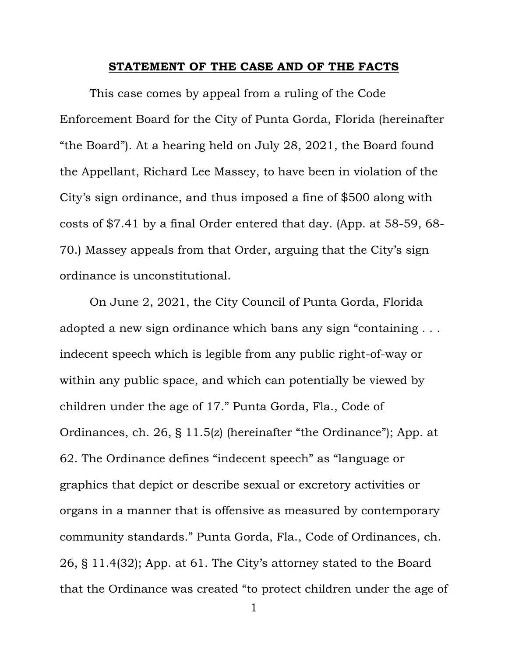#### **STATEMENT OF THE CASE AND OF THE FACTS**

This case comes by appeal from a ruling of the Code Enforcement Board for the City of Punta Gorda, Florida (hereinafter "the Board"). At a hearing held on July 28, 2021, the Board found the Appellant, Richard Lee Massey, to have been in violation of the City's sign ordinance, and thus imposed a fine of \$500 along with costs of \$7.41 by a final Order entered that day. (App. at 58-59, 68- 70.) Massey appeals from that Order, arguing that the City's sign ordinance is unconstitutional.

On June 2, 2021, the City Council of Punta Gorda, Florida adopted a new sign ordinance which bans any sign "containing . . . indecent speech which is legible from any public right-of-way or within any public space, and which can potentially be viewed by children under the age of 17." Punta Gorda, Fla., Code of Ordinances, ch. 26, § 11.5(z) (hereinafter "the Ordinance"); App. at 62. The Ordinance defines "indecent speech" as "language or graphics that depict or describe sexual or excretory activities or organs in a manner that is offensive as measured by contemporary community standards." Punta Gorda, Fla., Code of Ordinances, ch. 26, § 11.4(32); App. at 61. The City's attorney stated to the Board that the Ordinance was created "to protect children under the age of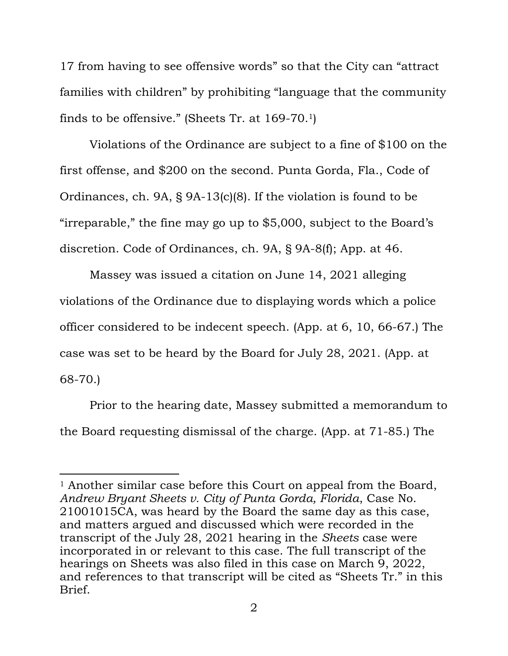17 from having to see offensive words" so that the City can "attract families with children" by prohibiting "language that the community finds to be offensive." (Sheets Tr. at 169-70. 1)

Violations of the Ordinance are subject to a fine of \$100 on the first offense, and \$200 on the second. Punta Gorda, Fla., Code of Ordinances, ch. 9A, § 9A-13(c)(8). If the violation is found to be "irreparable," the fine may go up to \$5,000, subject to the Board's discretion. Code of Ordinances, ch. 9A, § 9A-8(f); App. at 46.

Massey was issued a citation on June 14, 2021 alleging violations of the Ordinance due to displaying words which a police officer considered to be indecent speech. (App. at 6, 10, 66-67.) The case was set to be heard by the Board for July 28, 2021. (App. at 68-70.)

Prior to the hearing date, Massey submitted a memorandum to the Board requesting dismissal of the charge. (App. at 71-85.) The

<sup>&</sup>lt;sup>1</sup> Another similar case before this Court on appeal from the Board, *Andrew Bryant Sheets v. City of Punta Gorda, Florida*, Case No. 21001015CA, was heard by the Board the same day as this case, and matters argued and discussed which were recorded in the transcript of the July 28, 2021 hearing in the *Sheets* case were incorporated in or relevant to this case. The full transcript of the hearings on Sheets was also filed in this case on March 9, 2022, and references to that transcript will be cited as "Sheets Tr." in this Brief.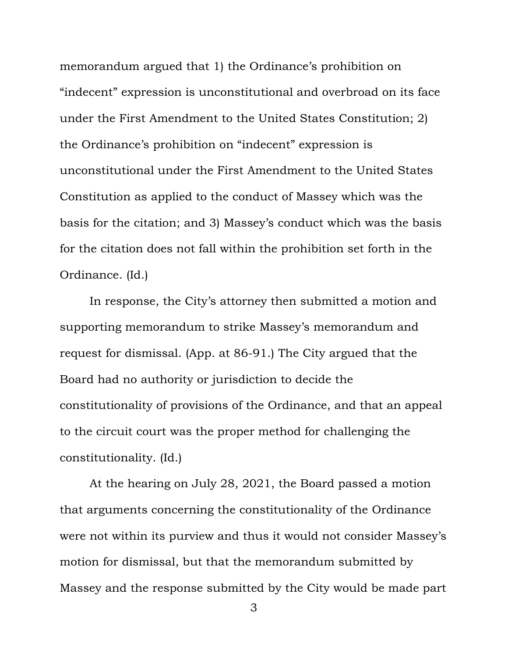memorandum argued that 1) the Ordinance's prohibition on "indecent" expression is unconstitutional and overbroad on its face under the First Amendment to the United States Constitution; 2) the Ordinance's prohibition on "indecent" expression is unconstitutional under the First Amendment to the United States Constitution as applied to the conduct of Massey which was the basis for the citation; and 3) Massey's conduct which was the basis for the citation does not fall within the prohibition set forth in the Ordinance. (Id.)

In response, the City's attorney then submitted a motion and supporting memorandum to strike Massey's memorandum and request for dismissal. (App. at 86-91.) The City argued that the Board had no authority or jurisdiction to decide the constitutionality of provisions of the Ordinance, and that an appeal to the circuit court was the proper method for challenging the constitutionality. (Id.)

At the hearing on July 28, 2021, the Board passed a motion that arguments concerning the constitutionality of the Ordinance were not within its purview and thus it would not consider Massey's motion for dismissal, but that the memorandum submitted by Massey and the response submitted by the City would be made part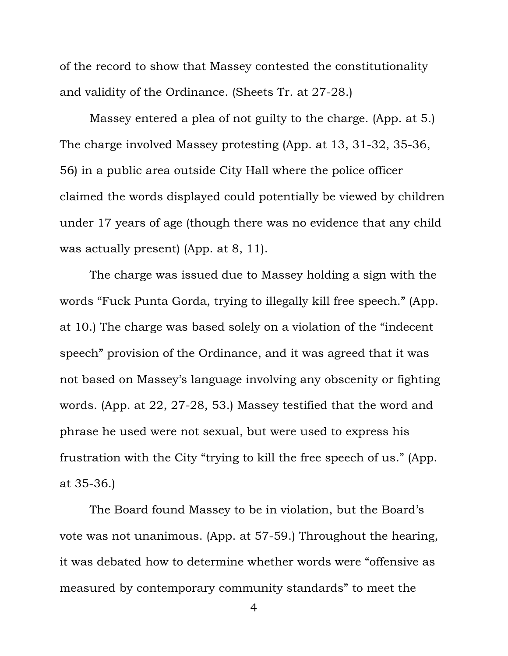of the record to show that Massey contested the constitutionality and validity of the Ordinance. (Sheets Tr. at 27-28.)

Massey entered a plea of not guilty to the charge. (App. at 5.) The charge involved Massey protesting (App. at 13, 31-32, 35-36, 56) in a public area outside City Hall where the police officer claimed the words displayed could potentially be viewed by children under 17 years of age (though there was no evidence that any child was actually present) (App. at 8, 11).

The charge was issued due to Massey holding a sign with the words "Fuck Punta Gorda, trying to illegally kill free speech." (App. at 10.) The charge was based solely on a violation of the "indecent speech" provision of the Ordinance, and it was agreed that it was not based on Massey's language involving any obscenity or fighting words. (App. at 22, 27-28, 53.) Massey testified that the word and phrase he used were not sexual, but were used to express his frustration with the City "trying to kill the free speech of us." (App. at 35-36.)

The Board found Massey to be in violation, but the Board's vote was not unanimous. (App. at 57-59.) Throughout the hearing, it was debated how to determine whether words were "offensive as measured by contemporary community standards" to meet the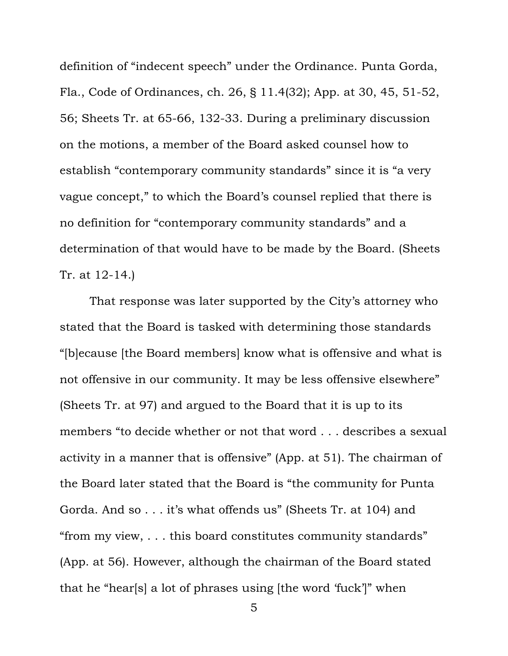definition of "indecent speech" under the Ordinance. Punta Gorda, Fla., Code of Ordinances, ch. 26, § 11.4(32); App. at 30, 45, 51-52, 56; Sheets Tr. at 65-66, 132-33. During a preliminary discussion on the motions, a member of the Board asked counsel how to establish "contemporary community standards" since it is "a very vague concept," to which the Board's counsel replied that there is no definition for "contemporary community standards" and a determination of that would have to be made by the Board. (Sheets Tr. at 12-14.)

That response was later supported by the City's attorney who stated that the Board is tasked with determining those standards "[b]ecause [the Board members] know what is offensive and what is not offensive in our community. It may be less offensive elsewhere" (Sheets Tr. at 97) and argued to the Board that it is up to its members "to decide whether or not that word . . . describes a sexual activity in a manner that is offensive" (App. at 51). The chairman of the Board later stated that the Board is "the community for Punta Gorda. And so . . . it's what offends us" (Sheets Tr. at 104) and "from my view, . . . this board constitutes community standards" (App. at 56). However, although the chairman of the Board stated that he "hear[s] a lot of phrases using [the word 'fuck']" when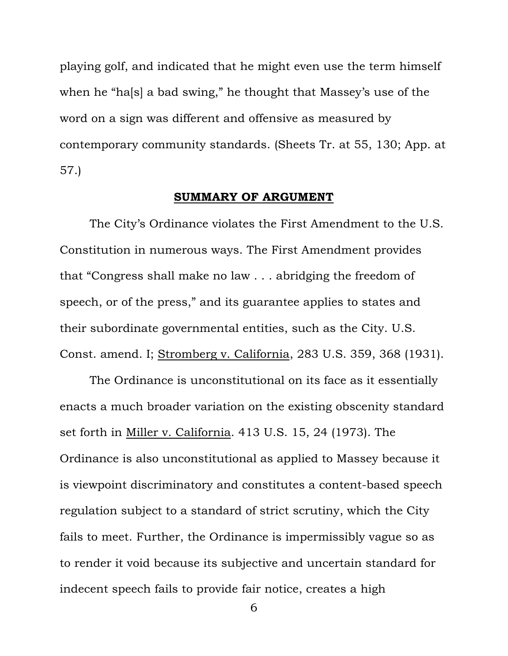playing golf, and indicated that he might even use the term himself when he "ha[s] a bad swing," he thought that Massey's use of the word on a sign was different and offensive as measured by contemporary community standards. (Sheets Tr. at 55, 130; App. at 57.)

#### **SUMMARY OF ARGUMENT**

The City's Ordinance violates the First Amendment to the U.S. Constitution in numerous ways. The First Amendment provides that "Congress shall make no law . . . abridging the freedom of speech, or of the press," and its guarantee applies to states and their subordinate governmental entities, such as the City. U.S. Const. amend. I; Stromberg v. California, 283 U.S. 359, 368 (1931).

The Ordinance is unconstitutional on its face as it essentially enacts a much broader variation on the existing obscenity standard set forth in Miller v. California. 413 U.S. 15, 24 (1973). The Ordinance is also unconstitutional as applied to Massey because it is viewpoint discriminatory and constitutes a content-based speech regulation subject to a standard of strict scrutiny, which the City fails to meet. Further, the Ordinance is impermissibly vague so as to render it void because its subjective and uncertain standard for indecent speech fails to provide fair notice, creates a high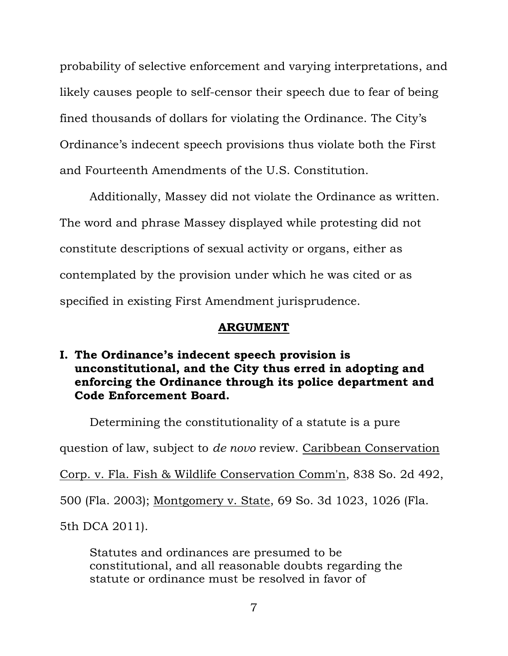probability of selective enforcement and varying interpretations, and likely causes people to self-censor their speech due to fear of being fined thousands of dollars for violating the Ordinance. The City's Ordinance's indecent speech provisions thus violate both the First and Fourteenth Amendments of the U.S. Constitution.

Additionally, Massey did not violate the Ordinance as written. The word and phrase Massey displayed while protesting did not constitute descriptions of sexual activity or organs, either as contemplated by the provision under which he was cited or as specified in existing First Amendment jurisprudence.

#### **ARGUMENT**

# **I. The Ordinance's indecent speech provision is unconstitutional, and the City thus erred in adopting and enforcing the Ordinance through its police department and Code Enforcement Board.**

Determining the constitutionality of a statute is a pure question of law, subject to *de novo* review. Caribbean Conservation Corp. v. Fla. Fish & Wildlife Conservation Comm'n, 838 So. 2d 492, 500 (Fla. 2003); Montgomery v. State, 69 So. 3d 1023, 1026 (Fla. 5th DCA 2011).

Statutes and ordinances are presumed to be constitutional, and all reasonable doubts regarding the statute or ordinance must be resolved in favor of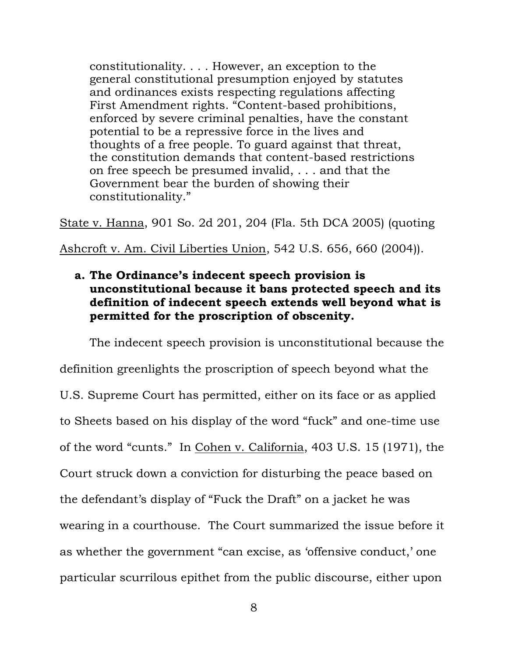constitutionality. . . . However, an exception to the general constitutional presumption enjoyed by statutes and ordinances exists respecting regulations affecting First Amendment rights. "Content-based prohibitions, enforced by severe criminal penalties, have the constant potential to be a repressive force in the lives and thoughts of a free people. To guard against that threat, the constitution demands that content-based restrictions on free speech be presumed invalid, . . . and that the Government bear the burden of showing their constitutionality."

State v. Hanna, 901 So. 2d 201, 204 (Fla. 5th DCA 2005) (quoting Ashcroft v. Am. Civil Liberties Union, 542 U.S. 656, 660 (2004)).

# **a. The Ordinance's indecent speech provision is unconstitutional because it bans protected speech and its definition of indecent speech extends well beyond what is permitted for the proscription of obscenity.**

The indecent speech provision is unconstitutional because the definition greenlights the proscription of speech beyond what the U.S. Supreme Court has permitted, either on its face or as applied to Sheets based on his display of the word "fuck" and one-time use of the word "cunts." In Cohen v. California, 403 U.S. 15 (1971), the Court struck down a conviction for disturbing the peace based on the defendant's display of "Fuck the Draft" on a jacket he was wearing in a courthouse. The Court summarized the issue before it as whether the government "can excise, as 'offensive conduct,' one particular scurrilous epithet from the public discourse, either upon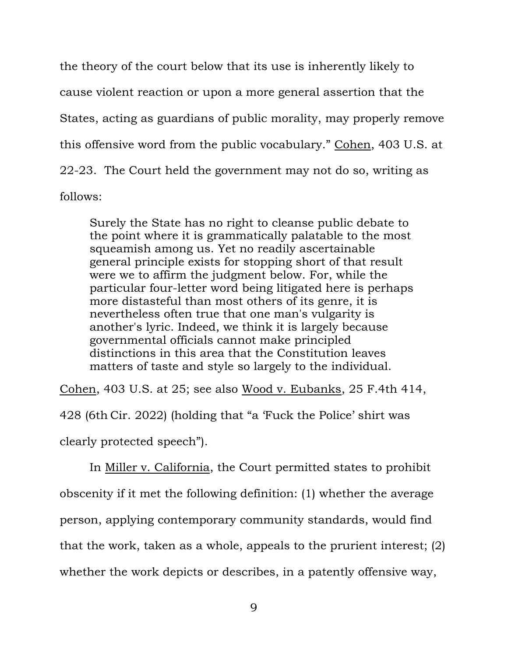the theory of the court below that its use is inherently likely to cause violent reaction or upon a more general assertion that the States, acting as guardians of public morality, may properly remove this offensive word from the public vocabulary." Cohen, 403 U.S. at 22-23. The Court held the government may not do so, writing as follows:

Surely the State has no right to cleanse public debate to the point where it is grammatically palatable to the most squeamish among us. Yet no readily ascertainable general principle exists for stopping short of that result were we to affirm the judgment below. For, while the particular four-letter word being litigated here is perhaps more distasteful than most others of its genre, it is nevertheless often true that one man's vulgarity is another's lyric. Indeed, we think it is largely because governmental officials cannot make principled distinctions in this area that the Constitution leaves matters of taste and style so largely to the individual.

Cohen, 403 U.S. at 25; see also Wood v. Eubanks, 25 F.4th 414, 428 (6th Cir. 2022) (holding that "a 'Fuck the Police' shirt was clearly protected speech").

In Miller v. California, the Court permitted states to prohibit obscenity if it met the following definition: (1) whether the average person, applying contemporary community standards, would find that the work, taken as a whole, appeals to the prurient interest; (2) whether the work depicts or describes, in a patently offensive way,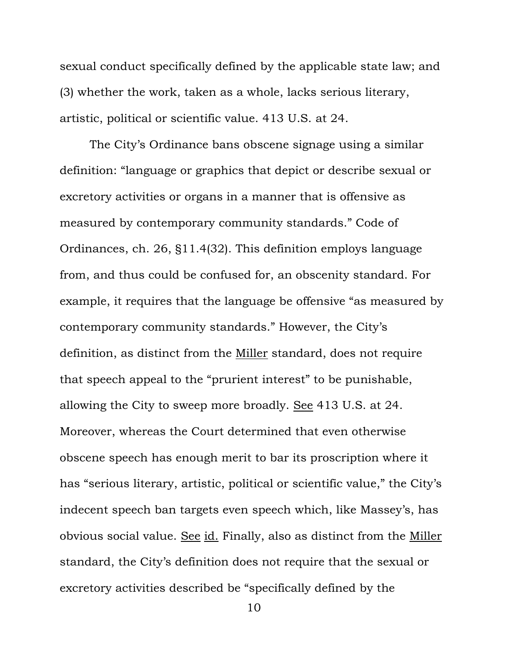sexual conduct specifically defined by the applicable state law; and (3) whether the work, taken as a whole, lacks serious literary, artistic, political or scientific value. 413 U.S. at 24.

The City's Ordinance bans obscene signage using a similar definition: "language or graphics that depict or describe sexual or excretory activities or organs in a manner that is offensive as measured by contemporary community standards." Code of Ordinances, ch. 26, §11.4(32). This definition employs language from, and thus could be confused for, an obscenity standard. For example, it requires that the language be offensive "as measured by contemporary community standards." However, the City's definition, as distinct from the Miller standard, does not require that speech appeal to the "prurient interest" to be punishable, allowing the City to sweep more broadly. See 413 U.S. at 24. Moreover, whereas the Court determined that even otherwise obscene speech has enough merit to bar its proscription where it has "serious literary, artistic, political or scientific value," the City's indecent speech ban targets even speech which, like Massey's, has obvious social value. See id. Finally, also as distinct from the Miller standard, the City's definition does not require that the sexual or excretory activities described be "specifically defined by the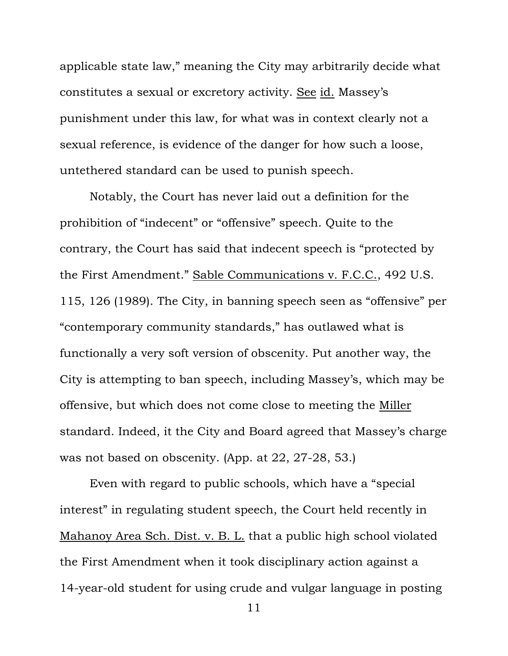applicable state law," meaning the City may arbitrarily decide what constitutes a sexual or excretory activity. See id. Massey's punishment under this law, for what was in context clearly not a sexual reference, is evidence of the danger for how such a loose, untethered standard can be used to punish speech.

Notably, the Court has never laid out a definition for the prohibition of "indecent" or "offensive" speech. Quite to the contrary, the Court has said that indecent speech is "protected by the First Amendment." Sable Communications v. F.C.C., 492 U.S. 115, 126 (1989). The City, in banning speech seen as "offensive" per "contemporary community standards," has outlawed what is functionally a very soft version of obscenity. Put another way, the City is attempting to ban speech, including Massey's, which may be offensive, but which does not come close to meeting the Miller standard. Indeed, it the City and Board agreed that Massey's charge was not based on obscenity. (App. at 22, 27-28, 53.)

Even with regard to public schools, which have a "special interest" in regulating student speech, the Court held recently in Mahanoy Area Sch. Dist. v. B. L. that a public high school violated the First Amendment when it took disciplinary action against a 14-year-old student for using crude and vulgar language in posting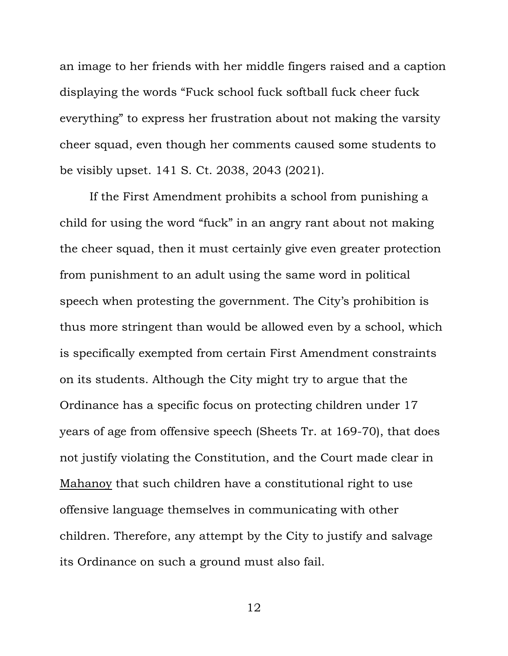an image to her friends with her middle fingers raised and a caption displaying the words "Fuck school fuck softball fuck cheer fuck everything" to express her frustration about not making the varsity cheer squad, even though her comments caused some students to be visibly upset. 141 S. Ct. 2038, 2043 (2021).

If the First Amendment prohibits a school from punishing a child for using the word "fuck" in an angry rant about not making the cheer squad, then it must certainly give even greater protection from punishment to an adult using the same word in political speech when protesting the government. The City's prohibition is thus more stringent than would be allowed even by a school, which is specifically exempted from certain First Amendment constraints on its students. Although the City might try to argue that the Ordinance has a specific focus on protecting children under 17 years of age from offensive speech (Sheets Tr. at 169-70), that does not justify violating the Constitution, and the Court made clear in Mahanoy that such children have a constitutional right to use offensive language themselves in communicating with other children. Therefore, any attempt by the City to justify and salvage its Ordinance on such a ground must also fail.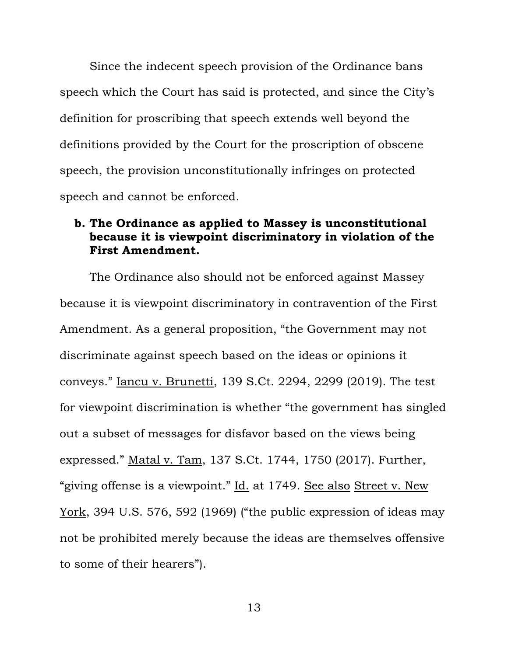Since the indecent speech provision of the Ordinance bans speech which the Court has said is protected, and since the City's definition for proscribing that speech extends well beyond the definitions provided by the Court for the proscription of obscene speech, the provision unconstitutionally infringes on protected speech and cannot be enforced.

### **b. The Ordinance as applied to Massey is unconstitutional because it is viewpoint discriminatory in violation of the First Amendment.**

The Ordinance also should not be enforced against Massey because it is viewpoint discriminatory in contravention of the First Amendment. As a general proposition, "the Government may not discriminate against speech based on the ideas or opinions it conveys." Iancu v. Brunetti, 139 S.Ct. 2294, 2299 (2019). The test for viewpoint discrimination is whether "the government has singled out a subset of messages for disfavor based on the views being expressed." Matal v. Tam, 137 S.Ct. 1744, 1750 (2017). Further, "giving offense is a viewpoint." Id. at 1749. See also Street v. New York, 394 U.S. 576, 592 (1969) ("the public expression of ideas may not be prohibited merely because the ideas are themselves offensive to some of their hearers").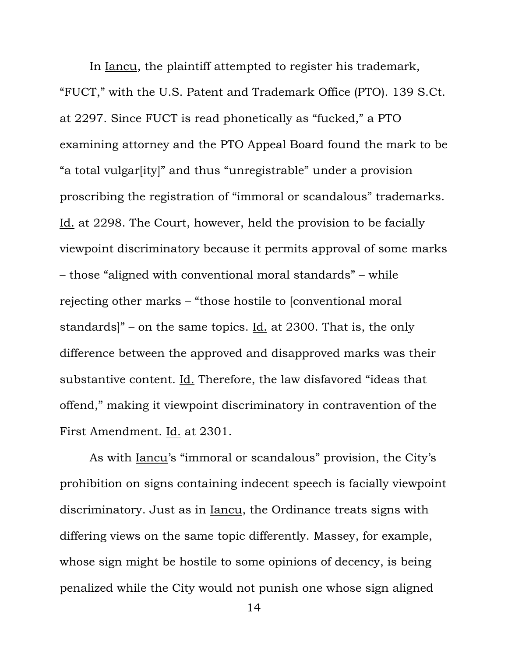In Iancu, the plaintiff attempted to register his trademark, "FUCT," with the U.S. Patent and Trademark Office (PTO). 139 S.Ct. at 2297. Since FUCT is read phonetically as "fucked," a PTO examining attorney and the PTO Appeal Board found the mark to be "a total vulgar[ity]" and thus "unregistrable" under a provision proscribing the registration of "immoral or scandalous" trademarks. Id. at 2298. The Court, however, held the provision to be facially viewpoint discriminatory because it permits approval of some marks – those "aligned with conventional moral standards" – while rejecting other marks – "those hostile to [conventional moral standards]" – on the same topics. Id. at 2300. That is, the only difference between the approved and disapproved marks was their substantive content. Id. Therefore, the law disfavored "ideas that offend," making it viewpoint discriminatory in contravention of the First Amendment. Id. at 2301.

As with Iancu's "immoral or scandalous" provision, the City's prohibition on signs containing indecent speech is facially viewpoint discriminatory. Just as in Iancu, the Ordinance treats signs with differing views on the same topic differently. Massey, for example, whose sign might be hostile to some opinions of decency, is being penalized while the City would not punish one whose sign aligned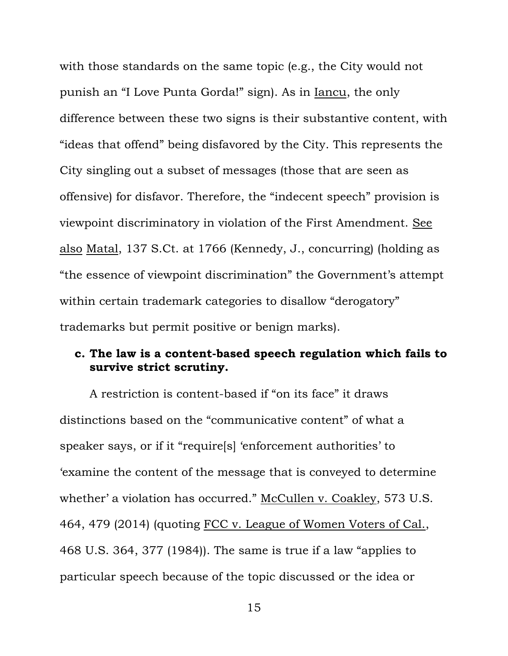with those standards on the same topic (e.g., the City would not punish an "I Love Punta Gorda!" sign). As in Iancu, the only difference between these two signs is their substantive content, with "ideas that offend" being disfavored by the City. This represents the City singling out a subset of messages (those that are seen as offensive) for disfavor. Therefore, the "indecent speech" provision is viewpoint discriminatory in violation of the First Amendment. See also Matal, 137 S.Ct. at 1766 (Kennedy, J., concurring) (holding as "the essence of viewpoint discrimination" the Government's attempt within certain trademark categories to disallow "derogatory" trademarks but permit positive or benign marks).

### **c. The law is a content-based speech regulation which fails to survive strict scrutiny.**

A restriction is content-based if "on its face" it draws distinctions based on the "communicative content" of what a speaker says, or if it "require[s] 'enforcement authorities' to 'examine the content of the message that is conveyed to determine whether' a violation has occurred." McCullen v. Coakley, 573 U.S. 464, 479 (2014) (quoting FCC v. League of Women Voters of Cal., 468 U.S. 364, 377 (1984)). The same is true if a law "applies to particular speech because of the topic discussed or the idea or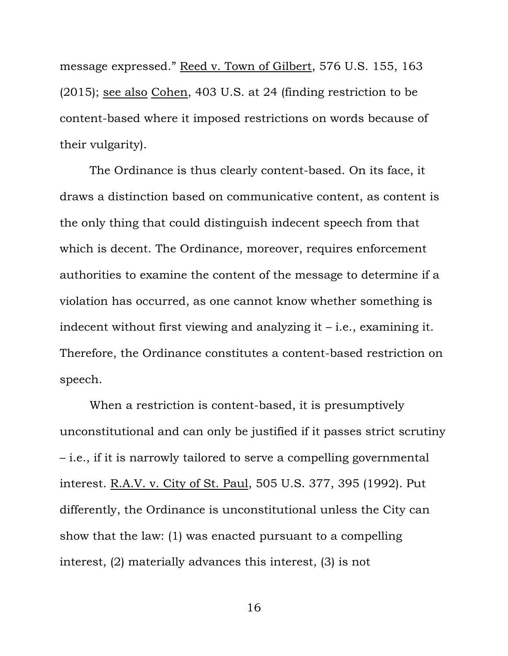message expressed." Reed v. Town of Gilbert, 576 U.S. 155, 163 (2015); see also Cohen, 403 U.S. at 24 (finding restriction to be content-based where it imposed restrictions on words because of their vulgarity).

The Ordinance is thus clearly content-based. On its face, it draws a distinction based on communicative content, as content is the only thing that could distinguish indecent speech from that which is decent. The Ordinance, moreover, requires enforcement authorities to examine the content of the message to determine if a violation has occurred, as one cannot know whether something is indecent without first viewing and analyzing it – i.e., examining it. Therefore, the Ordinance constitutes a content-based restriction on speech.

When a restriction is content-based, it is presumptively unconstitutional and can only be justified if it passes strict scrutiny – i.e., if it is narrowly tailored to serve a compelling governmental interest. R.A.V. v. City of St. Paul, 505 U.S. 377, 395 (1992). Put differently, the Ordinance is unconstitutional unless the City can show that the law: (1) was enacted pursuant to a compelling interest, (2) materially advances this interest, (3) is not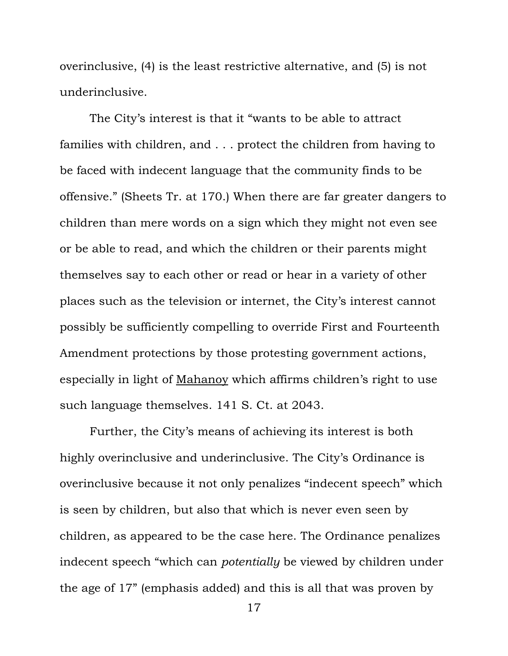overinclusive, (4) is the least restrictive alternative, and (5) is not underinclusive.

The City's interest is that it "wants to be able to attract families with children, and . . . protect the children from having to be faced with indecent language that the community finds to be offensive." (Sheets Tr. at 170.) When there are far greater dangers to children than mere words on a sign which they might not even see or be able to read, and which the children or their parents might themselves say to each other or read or hear in a variety of other places such as the television or internet, the City's interest cannot possibly be sufficiently compelling to override First and Fourteenth Amendment protections by those protesting government actions, especially in light of Mahanoy which affirms children's right to use such language themselves. 141 S. Ct. at 2043.

Further, the City's means of achieving its interest is both highly overinclusive and underinclusive. The City's Ordinance is overinclusive because it not only penalizes "indecent speech" which is seen by children, but also that which is never even seen by children, as appeared to be the case here. The Ordinance penalizes indecent speech "which can *potentially* be viewed by children under the age of 17" (emphasis added) and this is all that was proven by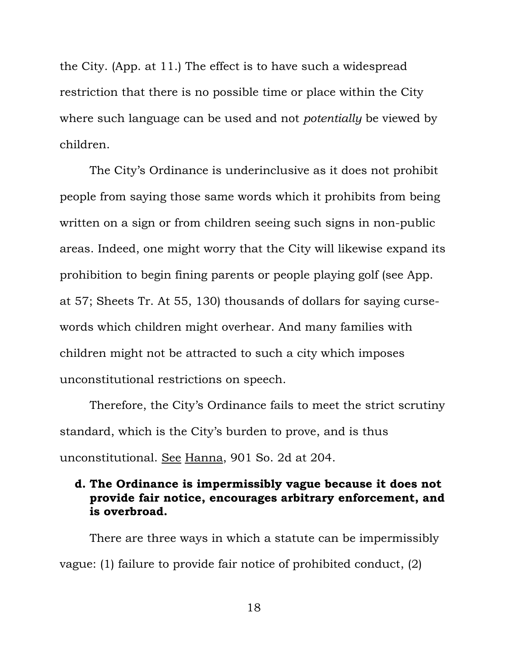the City. (App. at 11.) The effect is to have such a widespread restriction that there is no possible time or place within the City where such language can be used and not *potentially* be viewed by children.

The City's Ordinance is underinclusive as it does not prohibit people from saying those same words which it prohibits from being written on a sign or from children seeing such signs in non-public areas. Indeed, one might worry that the City will likewise expand its prohibition to begin fining parents or people playing golf (see App. at 57; Sheets Tr. At 55, 130) thousands of dollars for saying cursewords which children might overhear. And many families with children might not be attracted to such a city which imposes unconstitutional restrictions on speech.

Therefore, the City's Ordinance fails to meet the strict scrutiny standard, which is the City's burden to prove, and is thus unconstitutional. See Hanna, 901 So. 2d at 204.

### **d. The Ordinance is impermissibly vague because it does not provide fair notice, encourages arbitrary enforcement, and is overbroad.**

There are three ways in which a statute can be impermissibly vague: (1) failure to provide fair notice of prohibited conduct, (2)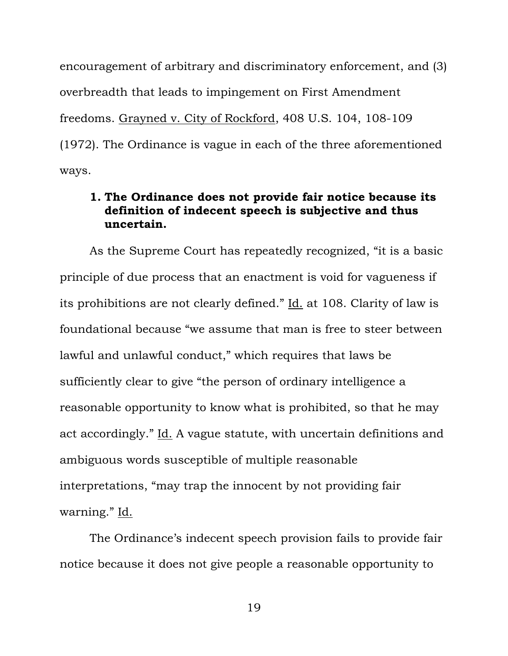encouragement of arbitrary and discriminatory enforcement, and (3) overbreadth that leads to impingement on First Amendment freedoms. Grayned v. City of Rockford, 408 U.S. 104, 108-109 (1972). The Ordinance is vague in each of the three aforementioned ways.

### **1. The Ordinance does not provide fair notice because its definition of indecent speech is subjective and thus uncertain.**

As the Supreme Court has repeatedly recognized, "it is a basic principle of due process that an enactment is void for vagueness if its prohibitions are not clearly defined." Id. at 108. Clarity of law is foundational because "we assume that man is free to steer between lawful and unlawful conduct," which requires that laws be sufficiently clear to give "the person of ordinary intelligence a reasonable opportunity to know what is prohibited, so that he may act accordingly." Id. A vague statute, with uncertain definitions and ambiguous words susceptible of multiple reasonable interpretations, "may trap the innocent by not providing fair warning." Id.

The Ordinance's indecent speech provision fails to provide fair notice because it does not give people a reasonable opportunity to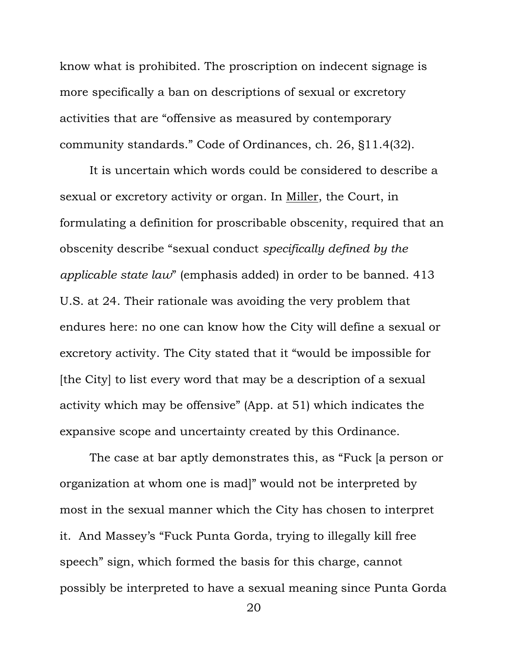know what is prohibited. The proscription on indecent signage is more specifically a ban on descriptions of sexual or excretory activities that are "offensive as measured by contemporary community standards." Code of Ordinances, ch. 26, §11.4(32).

It is uncertain which words could be considered to describe a sexual or excretory activity or organ. In Miller, the Court, in formulating a definition for proscribable obscenity, required that an obscenity describe "sexual conduct *specifically defined by the applicable state law*" (emphasis added) in order to be banned. 413 U.S. at 24. Their rationale was avoiding the very problem that endures here: no one can know how the City will define a sexual or excretory activity. The City stated that it "would be impossible for [the City] to list every word that may be a description of a sexual activity which may be offensive" (App. at 51) which indicates the expansive scope and uncertainty created by this Ordinance.

The case at bar aptly demonstrates this, as "Fuck [a person or organization at whom one is mad]" would not be interpreted by most in the sexual manner which the City has chosen to interpret it. And Massey's "Fuck Punta Gorda, trying to illegally kill free speech" sign, which formed the basis for this charge, cannot possibly be interpreted to have a sexual meaning since Punta Gorda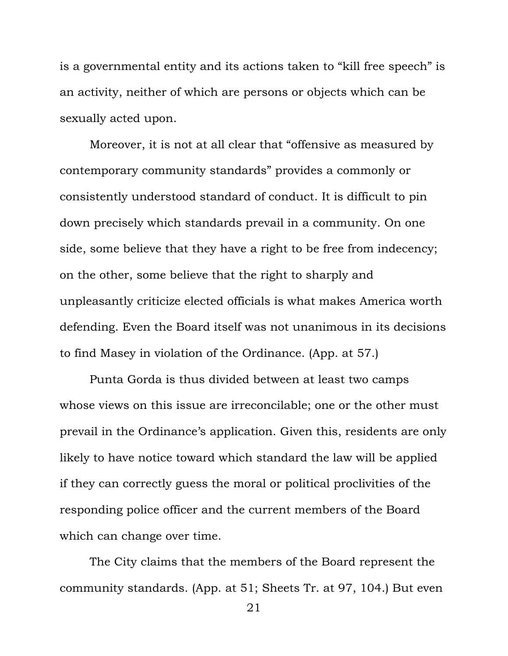is a governmental entity and its actions taken to "kill free speech" is an activity, neither of which are persons or objects which can be sexually acted upon.

Moreover, it is not at all clear that "offensive as measured by contemporary community standards" provides a commonly or consistently understood standard of conduct. It is difficult to pin down precisely which standards prevail in a community. On one side, some believe that they have a right to be free from indecency; on the other, some believe that the right to sharply and unpleasantly criticize elected officials is what makes America worth defending. Even the Board itself was not unanimous in its decisions to find Masey in violation of the Ordinance. (App. at 57.)

Punta Gorda is thus divided between at least two camps whose views on this issue are irreconcilable; one or the other must prevail in the Ordinance's application. Given this, residents are only likely to have notice toward which standard the law will be applied if they can correctly guess the moral or political proclivities of the responding police officer and the current members of the Board which can change over time.

The City claims that the members of the Board represent the community standards. (App. at 51; Sheets Tr. at 97, 104.) But even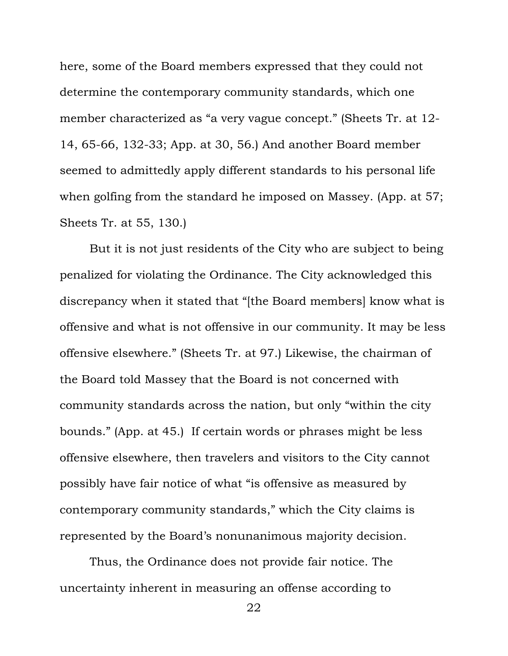here, some of the Board members expressed that they could not determine the contemporary community standards, which one member characterized as "a very vague concept." (Sheets Tr. at 12- 14, 65-66, 132-33; App. at 30, 56.) And another Board member seemed to admittedly apply different standards to his personal life when golfing from the standard he imposed on Massey. (App. at 57; Sheets Tr. at 55, 130.)

But it is not just residents of the City who are subject to being penalized for violating the Ordinance. The City acknowledged this discrepancy when it stated that "[the Board members] know what is offensive and what is not offensive in our community. It may be less offensive elsewhere." (Sheets Tr. at 97.) Likewise, the chairman of the Board told Massey that the Board is not concerned with community standards across the nation, but only "within the city bounds." (App. at 45.) If certain words or phrases might be less offensive elsewhere, then travelers and visitors to the City cannot possibly have fair notice of what "is offensive as measured by contemporary community standards," which the City claims is represented by the Board's nonunanimous majority decision.

Thus, the Ordinance does not provide fair notice. The uncertainty inherent in measuring an offense according to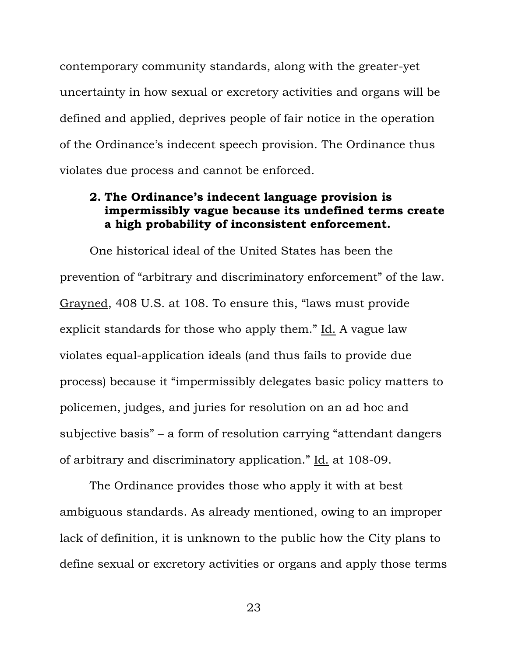contemporary community standards, along with the greater-yet uncertainty in how sexual or excretory activities and organs will be defined and applied, deprives people of fair notice in the operation of the Ordinance's indecent speech provision. The Ordinance thus violates due process and cannot be enforced.

#### **2. The Ordinance's indecent language provision is impermissibly vague because its undefined terms create a high probability of inconsistent enforcement.**

One historical ideal of the United States has been the prevention of "arbitrary and discriminatory enforcement" of the law. Grayned, 408 U.S. at 108. To ensure this, "laws must provide explicit standards for those who apply them." Id. A vague law violates equal-application ideals (and thus fails to provide due process) because it "impermissibly delegates basic policy matters to policemen, judges, and juries for resolution on an ad hoc and subjective basis" – a form of resolution carrying "attendant dangers of arbitrary and discriminatory application." Id. at 108-09.

The Ordinance provides those who apply it with at best ambiguous standards. As already mentioned, owing to an improper lack of definition, it is unknown to the public how the City plans to define sexual or excretory activities or organs and apply those terms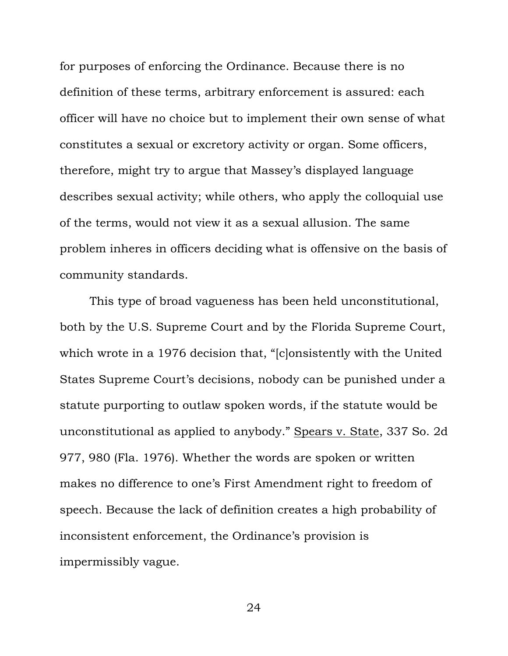for purposes of enforcing the Ordinance. Because there is no definition of these terms, arbitrary enforcement is assured: each officer will have no choice but to implement their own sense of what constitutes a sexual or excretory activity or organ. Some officers, therefore, might try to argue that Massey's displayed language describes sexual activity; while others, who apply the colloquial use of the terms, would not view it as a sexual allusion. The same problem inheres in officers deciding what is offensive on the basis of community standards.

This type of broad vagueness has been held unconstitutional, both by the U.S. Supreme Court and by the Florida Supreme Court, which wrote in a 1976 decision that, "[c]onsistently with the United States Supreme Court's decisions, nobody can be punished under a statute purporting to outlaw spoken words, if the statute would be unconstitutional as applied to anybody." Spears v. State, 337 So. 2d 977, 980 (Fla. 1976). Whether the words are spoken or written makes no difference to one's First Amendment right to freedom of speech. Because the lack of definition creates a high probability of inconsistent enforcement, the Ordinance's provision is impermissibly vague.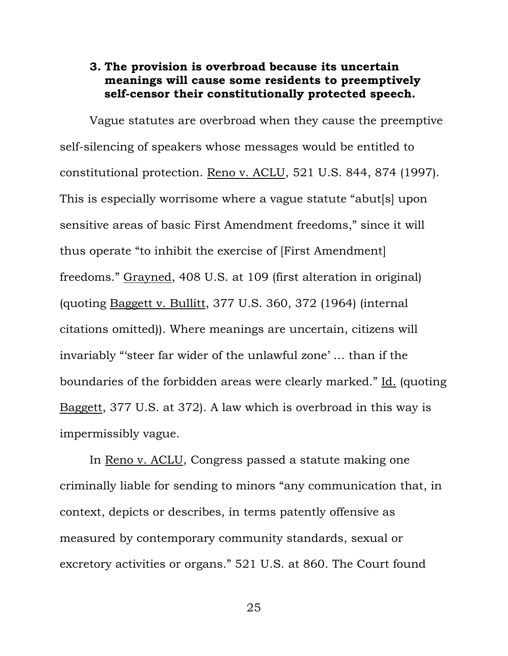#### **3. The provision is overbroad because its uncertain meanings will cause some residents to preemptively self-censor their constitutionally protected speech.**

Vague statutes are overbroad when they cause the preemptive self-silencing of speakers whose messages would be entitled to constitutional protection. Reno v. ACLU, 521 U.S. 844, 874 (1997). This is especially worrisome where a vague statute "abut[s] upon sensitive areas of basic First Amendment freedoms," since it will thus operate "to inhibit the exercise of [First Amendment] freedoms." Grayned, 408 U.S. at 109 (first alteration in original) (quoting Baggett v. Bullitt, 377 U.S. 360, 372 (1964) (internal citations omitted)). Where meanings are uncertain, citizens will invariably "'steer far wider of the unlawful zone' … than if the boundaries of the forbidden areas were clearly marked." Id. (quoting Baggett, 377 U.S. at 372). A law which is overbroad in this way is impermissibly vague.

In Reno v. ACLU, Congress passed a statute making one criminally liable for sending to minors "any communication that, in context, depicts or describes, in terms patently offensive as measured by contemporary community standards, sexual or excretory activities or organs." 521 U.S. at 860. The Court found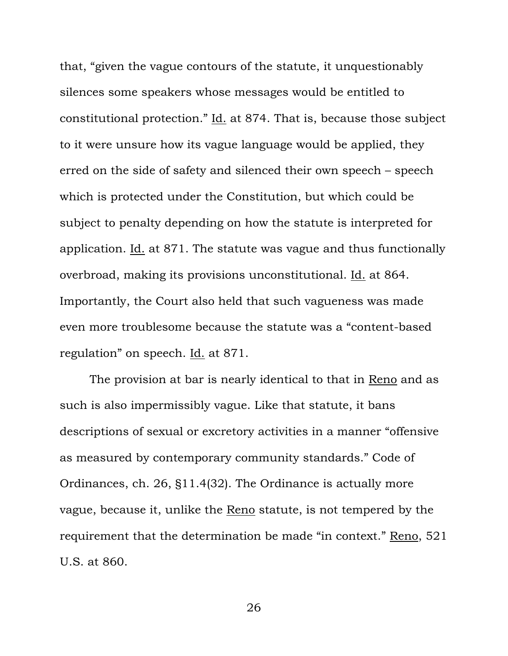that, "given the vague contours of the statute, it unquestionably silences some speakers whose messages would be entitled to constitutional protection." Id. at 874. That is, because those subject to it were unsure how its vague language would be applied, they erred on the side of safety and silenced their own speech – speech which is protected under the Constitution, but which could be subject to penalty depending on how the statute is interpreted for application. Id. at 871. The statute was vague and thus functionally overbroad, making its provisions unconstitutional. Id. at 864. Importantly, the Court also held that such vagueness was made even more troublesome because the statute was a "content-based regulation" on speech. Id. at 871.

The provision at bar is nearly identical to that in Reno and as such is also impermissibly vague. Like that statute, it bans descriptions of sexual or excretory activities in a manner "offensive as measured by contemporary community standards." Code of Ordinances, ch. 26, §11.4(32). The Ordinance is actually more vague, because it, unlike the Reno statute, is not tempered by the requirement that the determination be made "in context." Reno, 521 U.S. at 860.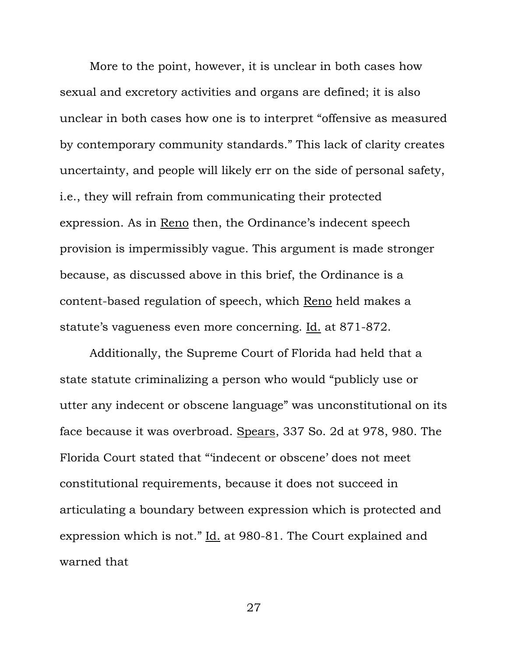More to the point, however, it is unclear in both cases how sexual and excretory activities and organs are defined; it is also unclear in both cases how one is to interpret "offensive as measured by contemporary community standards." This lack of clarity creates uncertainty, and people will likely err on the side of personal safety, i.e., they will refrain from communicating their protected expression. As in Reno then, the Ordinance's indecent speech provision is impermissibly vague. This argument is made stronger because, as discussed above in this brief, the Ordinance is a content-based regulation of speech, which Reno held makes a statute's vagueness even more concerning. Id. at 871-872.

Additionally, the Supreme Court of Florida had held that a state statute criminalizing a person who would "publicly use or utter any indecent or obscene language" was unconstitutional on its face because it was overbroad. Spears, 337 So. 2d at 978, 980. The Florida Court stated that "'indecent or obscene' does not meet constitutional requirements, because it does not succeed in articulating a boundary between expression which is protected and expression which is not." Id. at 980-81. The Court explained and warned that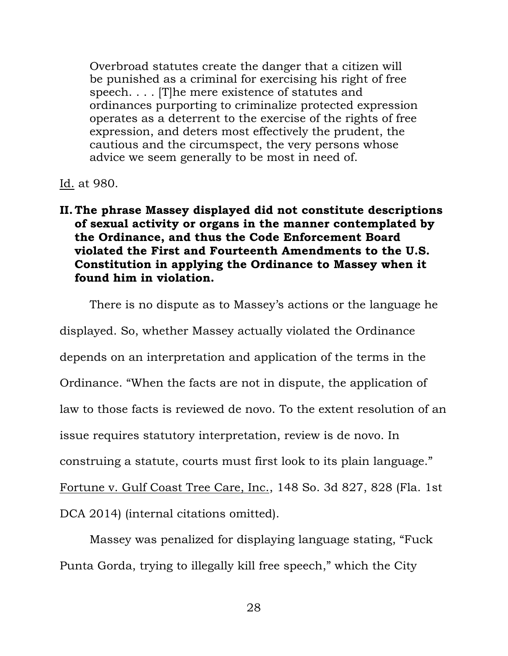Overbroad statutes create the danger that a citizen will be punished as a criminal for exercising his right of free speech. . . . [T]he mere existence of statutes and ordinances purporting to criminalize protected expression operates as a deterrent to the exercise of the rights of free expression, and deters most effectively the prudent, the cautious and the circumspect, the very persons whose advice we seem generally to be most in need of.

#### Id. at 980.

**II. The phrase Massey displayed did not constitute descriptions of sexual activity or organs in the manner contemplated by the Ordinance, and thus the Code Enforcement Board violated the First and Fourteenth Amendments to the U.S. Constitution in applying the Ordinance to Massey when it found him in violation.**

There is no dispute as to Massey's actions or the language he displayed. So, whether Massey actually violated the Ordinance depends on an interpretation and application of the terms in the Ordinance. "When the facts are not in dispute, the application of law to those facts is reviewed de novo. To the extent resolution of an issue requires statutory interpretation, review is de novo. In construing a statute, courts must first look to its plain language." Fortune v. Gulf Coast Tree Care, Inc., 148 So. 3d 827, 828 (Fla. 1st DCA 2014) (internal citations omitted).

Massey was penalized for displaying language stating, "Fuck Punta Gorda, trying to illegally kill free speech," which the City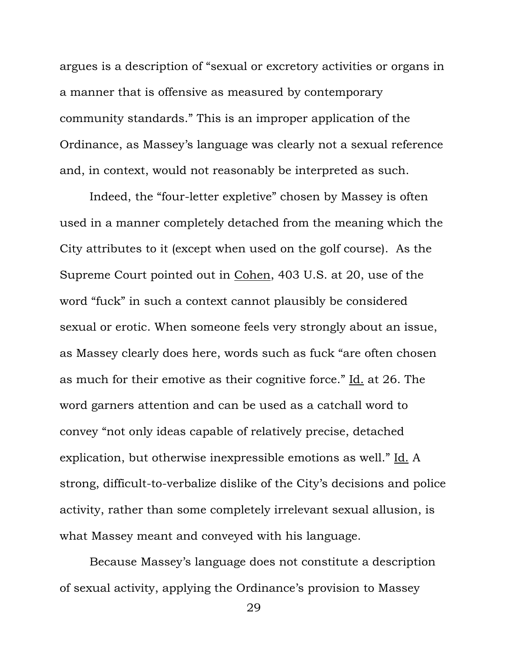argues is a description of "sexual or excretory activities or organs in a manner that is offensive as measured by contemporary community standards." This is an improper application of the Ordinance, as Massey's language was clearly not a sexual reference and, in context, would not reasonably be interpreted as such.

Indeed, the "four-letter expletive" chosen by Massey is often used in a manner completely detached from the meaning which the City attributes to it (except when used on the golf course). As the Supreme Court pointed out in Cohen, 403 U.S. at 20, use of the word "fuck" in such a context cannot plausibly be considered sexual or erotic. When someone feels very strongly about an issue, as Massey clearly does here, words such as fuck "are often chosen as much for their emotive as their cognitive force." Id. at 26. The word garners attention and can be used as a catchall word to convey "not only ideas capable of relatively precise, detached explication, but otherwise inexpressible emotions as well." Id. A strong, difficult-to-verbalize dislike of the City's decisions and police activity, rather than some completely irrelevant sexual allusion, is what Massey meant and conveyed with his language.

Because Massey's language does not constitute a description of sexual activity, applying the Ordinance's provision to Massey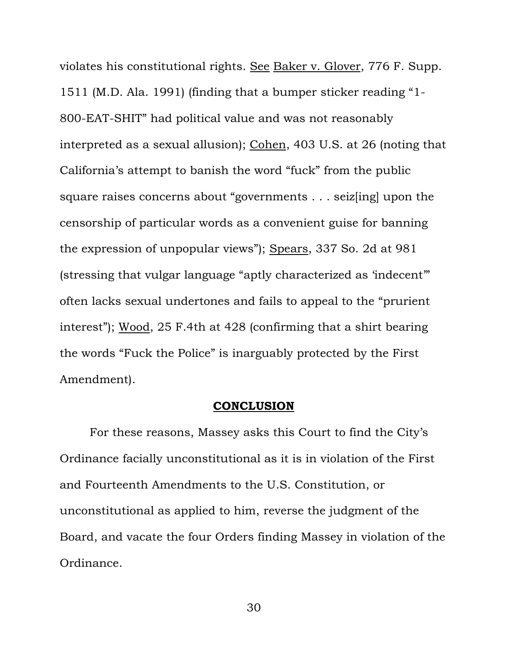violates his constitutional rights. See Baker v. Glover, 776 F. Supp. 1511 (M.D. Ala. 1991) (finding that a bumper sticker reading "1- 800-EAT-SHIT" had political value and was not reasonably interpreted as a sexual allusion); Cohen, 403 U.S. at 26 (noting that California's attempt to banish the word "fuck" from the public square raises concerns about "governments . . . seiz[ing] upon the censorship of particular words as a convenient guise for banning the expression of unpopular views"); Spears, 337 So. 2d at 981 (stressing that vulgar language "aptly characterized as 'indecent'" often lacks sexual undertones and fails to appeal to the "prurient interest"); Wood, 25 F.4th at 428 (confirming that a shirt bearing the words "Fuck the Police" is inarguably protected by the First Amendment).

#### **CONCLUSION**

For these reasons, Massey asks this Court to find the City's Ordinance facially unconstitutional as it is in violation of the First and Fourteenth Amendments to the U.S. Constitution, or unconstitutional as applied to him, reverse the judgment of the Board, and vacate the four Orders finding Massey in violation of the Ordinance.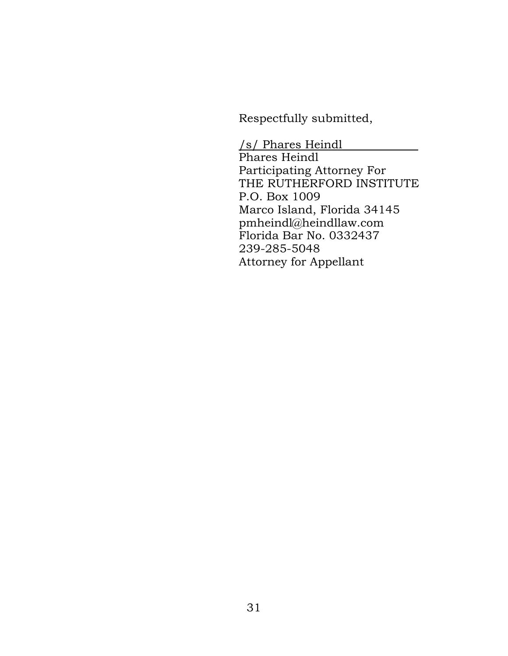Respectfully submitted,

/s/ Phares Heindl Phares Heindl Participating Attorney For THE RUTHERFORD INSTITUTE P.O. Box 1009 Marco Island, Florida 34145 pmheindl@heindllaw.com Florida Bar No. 0332437 239-285-5048 Attorney for Appellant